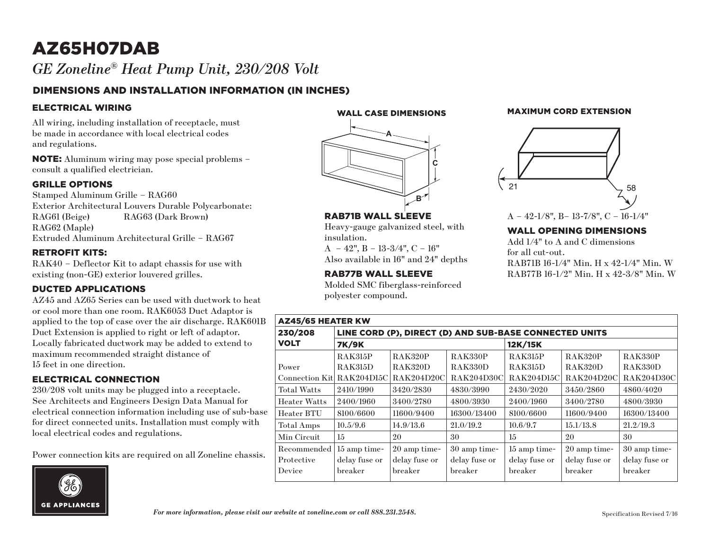# AZ65H07DAB *GE Zoneline® Heat Pump Unit, 230/208 Volt*

## DIMENSIONS AND INSTALLATION INFORMATION (IN INCHES)

#### ELECTRICAL WIRING

All wiring, including installation of receptacle, must be made in accordance with local electrical codes and regulations.

NOTE: Aluminum wiring may pose special problems – consult a qualified electrician.

#### GRILLE OPTIONS

Stamped Aluminum Grille – RAG60 Exterior Architectural Louvers Durable Polycarbonate: RAG61 (Beige) RAG63 (Dark Brown) RAG62 (Maple) Extruded Aluminum Architectural Grille – RAG67

#### RETROFIT KITS:

RAK40 – Deflector Kit to adapt chassis for use with existing (non-GE) exterior louvered grilles.

### DUCTED APPLICATIONS

AZ45 and AZ65 Series can be used with ductwork to heat or cool more than one room. RAK6053 Duct Adaptor is applied to the top of case over the air discharge. RAK601B Duct Extension is applied to right or left of adaptor. Locally fabricated ductwork may be added to extend to maximum recommended straight distance of 15 feet in one direction.

### ELECTRICAL CONNECTION

230/208 volt units may be plugged into a receptacle. See Architects and Engineers Design Data Manual for electrical connection information including use of sub-base for direct connected units. Installation must comply with local electrical codes and regulations.

Power connection kits are required on all Zoneline chassis.



WALL CASE DIMENSIONS



RAB71B WALL SLEEVE

 $A - 42$ ",  $B - 13-3/4$ ",  $C - 16$ " Also available in 16" and 24" depths

RAB77B WALL SLEEVE

polyester compound.

insulation.

Heavy-gauge galvanized steel, with

Molded SMC fiberglass-reinforced

#### MAXIMUM CORD EXTENSION



## A – 42-1/8", B– 13-7/8", C – 16-1/4"

#### WALL OPENING DIMENSIONS

Add 1/4" to A and C dimensions for all cut-out. RAB71B 16-1/4" Min. H x 42-1/4" Min. W RAB77B 16-1/2" Min. H x 42-3/8" Min. W

| <b>AZ45/65 HEATER KW</b>   |                                                        |                |                |                   |                   |                   |
|----------------------------|--------------------------------------------------------|----------------|----------------|-------------------|-------------------|-------------------|
| 230/208                    | LINE CORD (P), DIRECT (D) AND SUB-BASE CONNECTED UNITS |                |                |                   |                   |                   |
| <b>VOLT</b>                | <b>7K/9K</b>                                           |                |                | 12K/15K           |                   |                   |
|                            | <b>RAK315P</b>                                         | <b>RAK320P</b> | <b>RAK330P</b> | <b>RAK315P</b>    | <b>RAK320P</b>    | <b>RAK330P</b>    |
| Power                      | <b>RAK315D</b>                                         | <b>RAK320D</b> | <b>RAK330D</b> | <b>RAK315D</b>    | RAK320D           | RAK330D           |
| Connection Kitl RAK204D15C |                                                        | RAK204D20C     | RAK204D30C     | <b>RAK204D15C</b> | <b>RAK204D20C</b> | <b>RAK204D30C</b> |
| <b>Total Watts</b>         | 2410/1990                                              | 3420/2830      | 4830/3990      | 2430/2020         | 3450/2860         | 4860/4020         |
| <b>Heater Watts</b>        | 2400/1960                                              | 3400/2780      | 4800/3930      | 2400/1960         | 3400/2780         | 4800/3930         |
| Heater BTU                 | 8100/6600                                              | 11600/9400     | 16300/13400    | 8100/6600         | 11600/9400        | 16300/13400       |
| Total Amps                 | 10.5/9.6                                               | 14.9/13.6      | 21.0/19.2      | 10.6/9.7          | 15.1/13.8         | 21.2/19.3         |
| Min Circuit                | 15                                                     | 20             | 30             | 15                | 20                | 30                |
| Recommended                | 15 amp time-                                           | 20 amp time-   | 30 amp time-   | 15 amp time-      | 20 amp time-      | 30 amp time-      |
| Protective                 | delay fuse or                                          | delay fuse or  | delay fuse or  | delay fuse or     | delay fuse or     | delay fuse or     |
| Device                     | breaker                                                | breaker        | breaker        | breaker           | breaker           | breaker           |